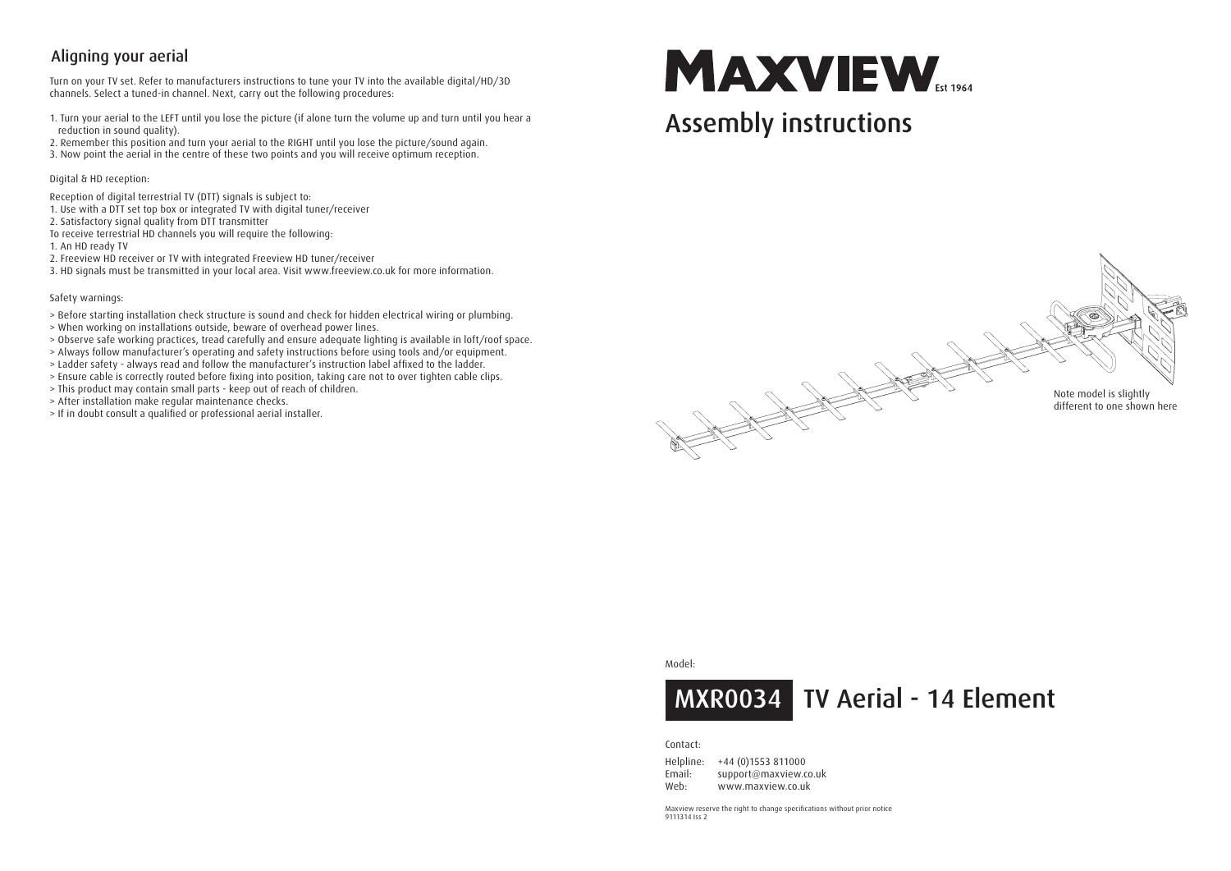## Aligning your aerial

Turn on your TV set. Refer to manufacturers instructions to tune your TV into the available digital/HD/3D channels. Select a tuned-in channel. Next, carry out the following procedures:

- 1. Turn your aerial to the LEFT until you lose the picture (if alone turn the volume up and turn until you hear a reduction in sound quality).
- 2. Remember this position and turn your aerial to the RIGHT until you lose the picture/sound again.
- 3. Now point the aerial in the centre of these two points and you will receive optimum reception.

Digital & HD reception:

- Reception of digital terrestrial TV (DTT) signals is subject to:
- 1. Use with a DTT set top box or integrated TV with digital tuner/receiver
- 2. Satisfactory signal quality from DTT transmitter
- To receive terrestrial HD channels you will require the following:

1. An HD ready TV

- 2. Freeview HD receiver or TV with integrated Freeview HD tuner/receiver
- 3. HD signals must be transmitted in your local area. Visit www.freeview.co.uk for more information.

#### Safety warnings:

- > Before starting installation check structure is sound and check for hidden electrical wiring or plumbing.
- > When working on installations outside, beware of overhead power lines.
- > Observe safe working practices, tread carefully and ensure adequate lighting is available in loft/roof space.
- > Always follow manufacturer's operating and safety instructions before using tools and/or equipment.
- > Ladder safety always read and follow the manufacturer's instruction label affixed to the ladder.
- > Ensure cable is correctly routed before fixing into position, taking care not to over tighten cable clips.
- > This product may contain small parts keep out of reach of children.
- > After installation make regular maintenance checks.
- > If in doubt consult a qualified or professional aerial installer.

# **MAXVIEW**

## Assembly instructions



#### Model:



#### Contact:

Helpline: +44 (0)1553 811000 Email: support@maxview.co.uk Web: www.maxview.co.uk

Maxview reserve the right to change specifications without prior notice 9111314 Iss 2